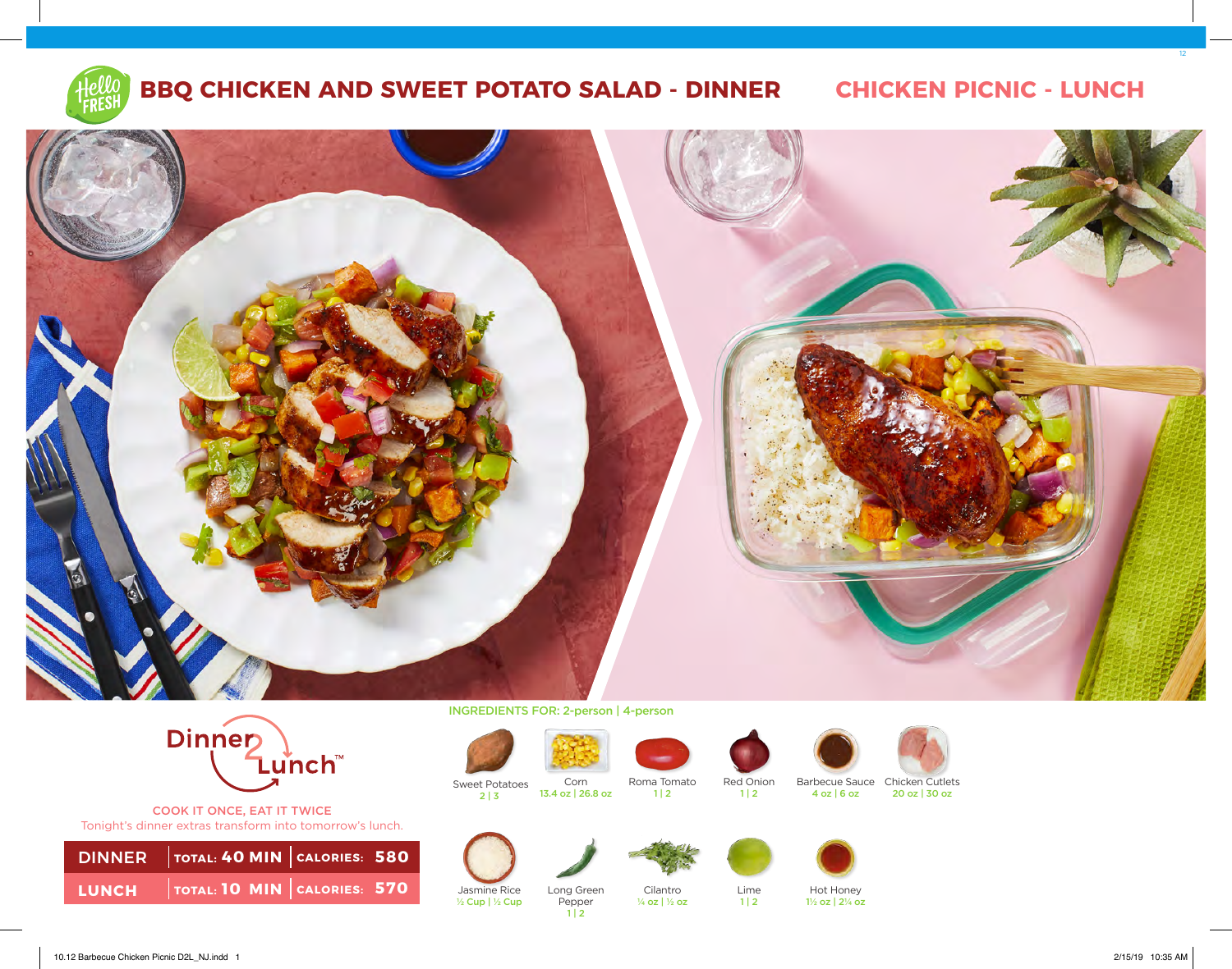

## **BBQ CHICKEN AND SWEET POTATO SALAD - DINNER CHICKEN PICNIC - LUNCH**

12





COOK IT ONCE, EAT IT TWICE Tonight's dinner extras transform into tomorrow's lunch.

| DINNER   TOTAL: 40 MIN   CALORIES: 580 |  |
|----------------------------------------|--|
| LUNCH   TOTAL: 10 MIN CALORIES: 570    |  |

INGREDIENTS FOR: 2-person | 4-person

13.4 oz | 26.8 oz

Pepper  $1 | 2$ 



**Sweet Potatoes**  $2 | 3$ 

½ Cup | ½ Cup





 $1 | 2$ 

¼ oz | ½ oz

Red Onion  $1 | 2$ 

 $1 | 2$ 





Barbecue Sauce Chicken Cutlets 4 oz | 6 oz 20 oz | 30 oz







Hot Honey 1½ oz | 2¼ oz

10.12 Barbecue Chicken Picnic D2L\_NJ.indd 1 2/15/19 10:35 AM